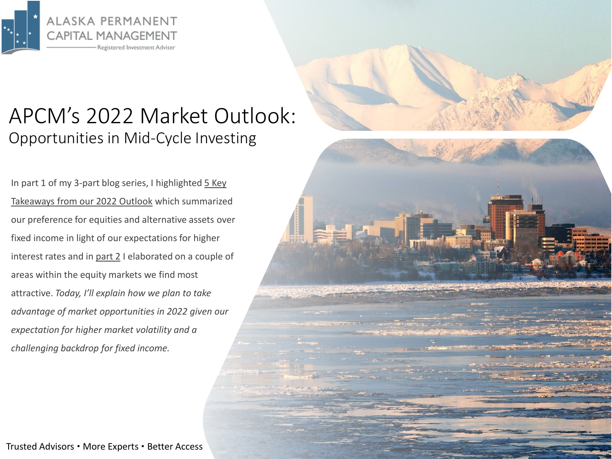

## APCM's 2022 Market Outlook: Opportunities in Mid-Cycle Investing

In part 1 of my 3-part blog series, I highlighted 5 Key Takeaways from our 2022 Outlook which summarized our preference for equities and alternative assets over fixed income in light of our expectations for higher interest rates and in [part 2](https://www.apcm.net/wp-content/uploads/2022/02/APCM-2022-Market-Outlook-Part-2.pdf) I elaborated on a couple of areas within the equity markets we find most attractive. *Today, I'll explain how we plan to take advantage of market opportunities in 2022 given our expectation for higher market volatility and a challenging backdrop for fixed income.*

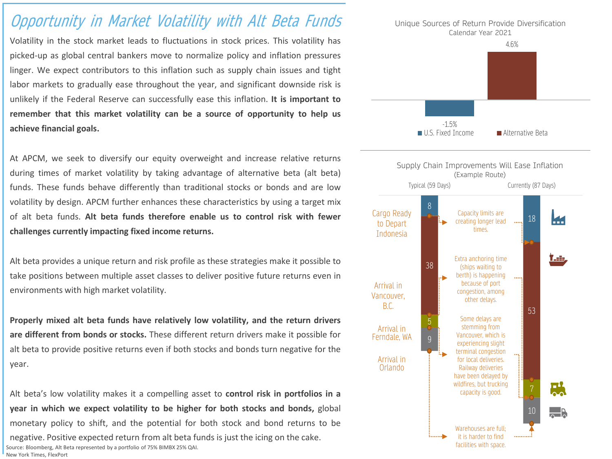## Opportunity in Market Volatility with Alt Beta Funds

Volatility in the stock market leads to fluctuations in stock prices. This volatility has picked-up as global central bankers move to normalize policy and inflation pressures linger. We expect contributors to this inflation such as supply chain issues and tight labor markets to gradually ease throughout the year, and significant downside risk is unlikely if the Federal Reserve can successfully ease this inflation. **It is important to remember that this market volatility can be a source of opportunity to help us achieve financial goals.**

At APCM, we seek to diversify our equity overweight and increase relative returns during times of market volatility by taking advantage of alternative beta (alt beta) funds. These funds behave differently than traditional stocks or bonds and are low volatility by design. APCM further enhances these characteristics by using a target mix of alt beta funds. **Alt beta funds therefore enable us to control risk with fewer challenges currently impacting fixed income returns.**

Alt beta provides a unique return and risk profile as these strategies make it possible to take positions between multiple asset classes to deliver positive future returns even in environments with high market volatility.

**Properly mixed alt beta funds have relatively low volatility, and the return drivers are different from bonds or stocks.** These different return drivers make it possible for alt beta to provide positive returns even if both stocks and bonds turn negative for the year.

Alt beta's low volatility makes it a compelling asset to **control risk in portfolios in a year in which we expect volatility to be higher for both stocks and bonds,** global monetary policy to shift, and the potential for both stock and bond returns to be negative. Positive expected return from alt beta funds is just the icing on the cake. Source: Bloomberg, Alt Beta represented by a portfolio of 75% BIMBX 25% QAI. New York Times, FlexPort